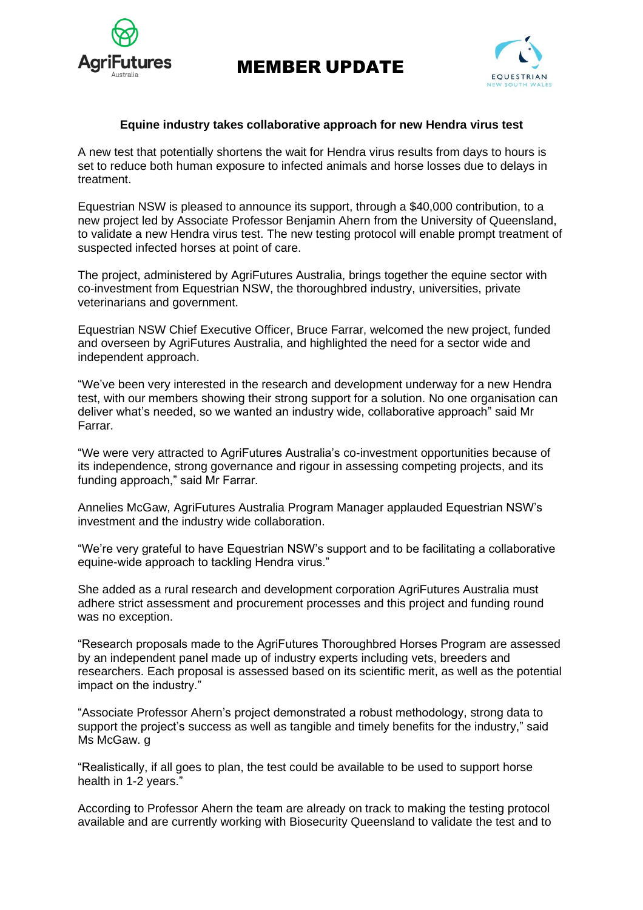

MEMBER UPDATE



## **Equine industry takes collaborative approach for new Hendra virus test**

A new test that potentially shortens the wait for Hendra virus results from days to hours is set to reduce both human exposure to infected animals and horse losses due to delays in treatment.

Equestrian NSW is pleased to announce its support, through a \$40,000 contribution, to a new project led by Associate Professor Benjamin Ahern from the University of Queensland, to validate a new Hendra virus test. The new testing protocol will enable prompt treatment of suspected infected horses at point of care.

The project, administered by AgriFutures Australia, brings together the equine sector with co-investment from Equestrian NSW, the thoroughbred industry, universities, private veterinarians and government.

Equestrian NSW Chief Executive Officer, Bruce Farrar, welcomed the new project, funded and overseen by AgriFutures Australia, and highlighted the need for a sector wide and independent approach.

"We've been very interested in the research and development underway for a new Hendra test, with our members showing their strong support for a solution. No one organisation can deliver what's needed, so we wanted an industry wide, collaborative approach" said Mr Farrar.

"We were very attracted to AgriFutures Australia's co-investment opportunities because of its independence, strong governance and rigour in assessing competing projects, and its funding approach," said Mr Farrar.

Annelies McGaw, AgriFutures Australia Program Manager applauded Equestrian NSW's investment and the industry wide collaboration.

"We're very grateful to have Equestrian NSW's support and to be facilitating a collaborative equine-wide approach to tackling Hendra virus."

She added as a rural research and development corporation AgriFutures Australia must adhere strict assessment and procurement processes and this project and funding round was no exception.

"Research proposals made to the AgriFutures Thoroughbred Horses Program are assessed by an independent panel made up of industry experts including vets, breeders and researchers. Each proposal is assessed based on its scientific merit, as well as the potential impact on the industry."

"Associate Professor Ahern's project demonstrated a robust methodology, strong data to support the project's success as well as tangible and timely benefits for the industry," said Ms McGaw. **g** 

"Realistically, if all goes to plan, the test could be available to be used to support horse health in 1-2 years."

According to Professor Ahern the team are already on track to making the testing protocol available and are currently working with Biosecurity Queensland to validate the test and to